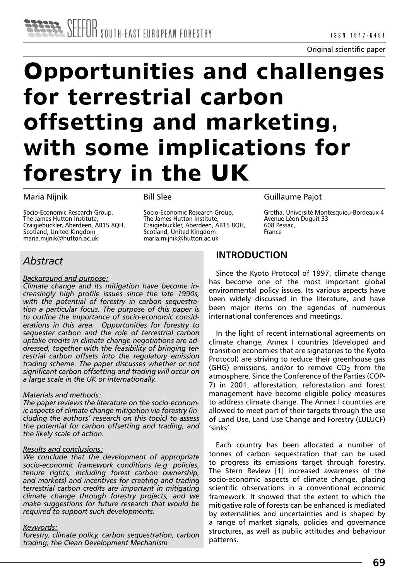# **Opportunities and challenges for terrestrial carbon offsetting and marketing, with some implications for forestry in the UK**

#### Maria Nijnik

Socio-Economic Research Group, The James Hutton Institute, Craigiebuckler, Aberdeen, AB15 8OH. Scotland, United Kingdom maria.mijnik@hutton.ac.uk

#### Bill Slee

Socio-Economic Research Group, The James Hutton Institute, Craigiebuckler, Aberdeen, AB15 8QH, Scotland, United Kingdom maria.mijnik@hutton.ac.uk

#### Guillaume Pajot

Gretha, Université Montesquieu-Bordeaux 4 Avenue Léon Duguit 33 608 Pessac, France

# *Abstract*

#### *Background and purpose:*

*Climate change and its mitigation have become increasingly high profile issues since the late 1990s, with the potential of forestry in carbon sequestration a particular focus. The purpose of this paper is to outline the importance of socio-economic considerations in this area. Opportunities for forestry to sequester carbon and the role of terrestrial carbon uptake credits in climate change negotiations are addressed, together with the feasibility of bringing terrestrial carbon offsets into the regulatory emission trading scheme. The paper discusses whether or not significant carbon offsetting and trading will occur on a large scale in the UK or internationally.*

#### *Materials and methods:*

*The paper reviews the literature on the socio-economic aspects of climate change mitigation via forestry (including the authors' research on this topic) to assess the potential for carbon offsetting and trading, and the likely scale of action.* 

#### *Results and conclusions:*

*We conclude that the development of appropriate socio-economic framework conditions (e.g. policies, tenure rights, including forest carbon ownership, and markets) and incentives for creating and trading terrestrial carbon credits are important in mitigating climate change through forestry projects, and we make suggestions for future research that would be required to support such developments.* 

#### *Keywords:*

*forestry, climate policy, carbon sequestration, carbon trading, the Clean Development Mechanism*

## **INTRODUCTION**

Since the Kyoto Protocol of 1997, climate change has become one of the most important global environmental policy issues. Its various aspects have been widely discussed in the literature, and have been major items on the agendas of numerous international conferences and meetings.

In the light of recent international agreements on climate change, Annex I countries (developed and transition economies that are signatories to the Kyoto Protocol) are striving to reduce their greenhouse gas (GHG) emissions, and/or to remove  $CO<sub>2</sub>$  from the atmosphere. Since the Conference of the Parties (COP-7) in 2001, afforestation, reforestation and forest management have become eligible policy measures to address climate change. The Annex I countries are allowed to meet part of their targets through the use of Land Use, Land Use Change and Forestry (LULUCF) 'sinks'.

Each country has been allocated a number of tonnes of carbon sequestration that can be used to progress its emissions target through forestry. The Stern Review [1] increased awareness of the socio-economic aspects of climate change, placing scientific observations in a conventional economic framework. It showed that the extent to which the mitigative role of forests can be enhanced is mediated by externalities and uncertainties and is shaped by a range of market signals, policies and governance structures, as well as public attitudes and behaviour patterns.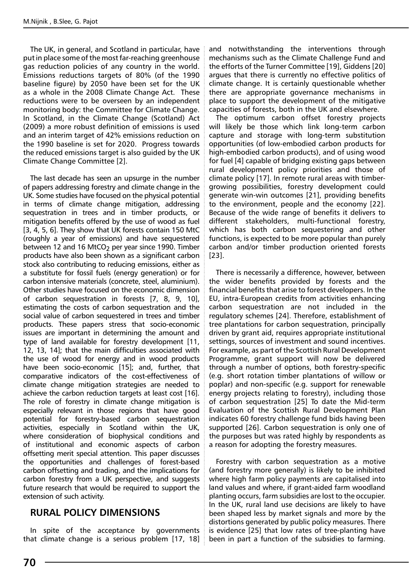The UK, in general, and Scotland in particular, have put in place some of the most far-reaching greenhouse gas reduction policies of any country in the world. Emissions reductions targets of 80% (of the 1990 baseline figure) by 2050 have been set for the UK as a whole in the 2008 Climate Change Act. These reductions were to be overseen by an independent monitoring body: the Committee for Climate Change. In Scotland, in the Climate Change (Scotland) Act (2009) a more robust definition of emissions is used and an interim target of 42% emissions reduction on the 1990 baseline is set for 2020. Progress towards the reduced emissions target is also guided by the UK Climate Change Committee [2].

The last decade has seen an upsurge in the number of papers addressing forestry and climate change in the UK. Some studies have focused on the physical potential in terms of climate change mitigation, addressing sequestration in trees and in timber products, or mitigation benefits offered by the use of wood as fuel [3, 4, 5, 6]. They show that UK forests contain 150 MtC (roughly a year of emissions) and have sequestered between 12 and 16 MtCO<sub>2</sub> per year since 1990. Timber products have also been shown as a significant carbon stock also contributing to reducing emissions, either as a substitute for fossil fuels (energy generation) or for carbon intensive materials (concrete, steel, aluminium). Other studies have focused on the economic dimension of carbon sequestration in forests [7, 8, 9, 10], estimating the costs of carbon sequestration and the social value of carbon sequestered in trees and timber products. These papers stress that socio-economic issues are important in determining the amount and type of land available for forestry development [11, 12, 13, 14]; that the main difficulties associated with the use of wood for energy and in wood products have been socio-economic [15]; and, further, that comparative indicators of the cost-effectiveness of climate change mitigation strategies are needed to achieve the carbon reduction targets at least cost [16]. The role of forestry in climate change mitigation is especially relevant in those regions that have good potential for forestry-based carbon sequestration activities, especially in Scotland within the UK, where consideration of biophysical conditions and of institutional and economic aspects of carbon offsetting merit special attention. This paper discusses the opportunities and challenges of forest-based carbon offsetting and trading, and the implications for carbon forestry from a UK perspective, and suggests future research that would be required to support the extension of such activity.

#### **RURAL POLICY DIMENSIONS**

In spite of the acceptance by governments that climate change is a serious problem [17, 18] and notwithstanding the interventions through mechanisms such as the Climate Challenge Fund and the efforts of the Turner Committee [19], Giddens [20] argues that there is currently no effective politics of climate change. It is certainly questionable whether there are appropriate governance mechanisms in place to support the development of the mitigative capacities of forests, both in the UK and elsewhere.

The optimum carbon offset forestry projects will likely be those which link long-term carbon capture and storage with long-term substitution opportunities (of low-embodied carbon products for high-embodied carbon products), and of using wood for fuel [4] capable of bridging existing gaps between rural development policy priorities and those of climate policy [17]. In remote rural areas with timbergrowing possibilities, forestry development could generate win-win outcomes [21], providing benefits to the environment, people and the economy [22]. Because of the wide range of benefits it delivers to different stakeholders, multi-functional forestry, which has both carbon sequestering and other functions, is expected to be more popular than purely carbon and/or timber production oriented forests [23].

There is necessarily a difference, however, between the wider benefits provided by forests and the financial benefits that arise to forest developers. In the EU, intra-European credits from activities enhancing carbon sequestration are not included in the regulatory schemes [24]. Therefore, establishment of tree plantations for carbon sequestration, principally driven by grant aid, requires appropriate institutional settings, sources of investment and sound incentives. For example, as part of the Scottish Rural Development Programme, grant support will now be delivered through a number of options, both forestry-specific (e.g. short rotation timber plantations of willow or poplar) and non-specific (e.g. support for renewable energy projects relating to forestry), including those of carbon sequestration [25] To date the Mid-term Evaluation of the Scottish Rural Development Plan indicates 60 forestry challenge fund bids having been supported [26]. Carbon sequestration is only one of the purposes but was rated highly by respondents as a reason for adopting the forestry measures.

Forestry with carbon sequestration as a motive (and forestry more generally) is likely to be inhibited where high farm policy payments are capitalised into land values and where, if grant-aided farm woodland planting occurs, farm subsidies are lost to the occupier. In the UK, rural land use decisions are likely to have been shaped less by market signals and more by the distortions generated by public policy measures. There is evidence [25] that low rates of tree-planting have been in part a function of the subsidies to farming.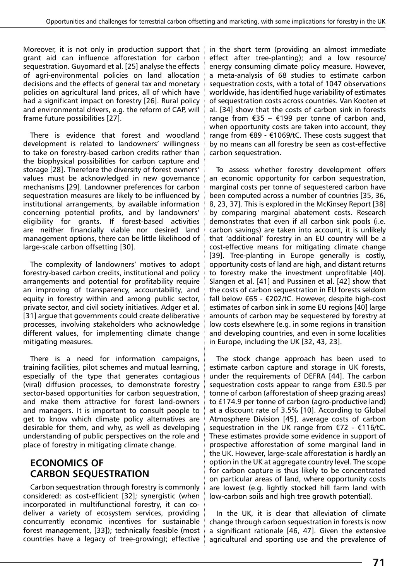Moreover, it is not only in production support that grant aid can influence afforestation for carbon sequestration. Guyomard et al. [25] analyse the effects of agri-environmental policies on land allocation decisions and the effects of general tax and monetary policies on agricultural land prices, all of which have had a significant impact on forestry [26]. Rural policy and environmental drivers, e.g. the reform of CAP, will frame future possibilities [27].

There is evidence that forest and woodland development is related to landowners' willingness to take on forestry-based carbon credits rather than the biophysical possibilities for carbon capture and storage [28]. Therefore the diversity of forest owners' values must be acknowledged in new governance mechanisms [29]. Landowner preferences for carbon sequestration measures are likely to be influenced by institutional arrangements, by available information concerning potential profits, and by landowners' eligibility for grants. If forest-based activities are neither financially viable nor desired land management options, there can be little likelihood of large-scale carbon offsetting [30].

The complexity of landowners' motives to adopt forestry-based carbon credits, institutional and policy arrangements and potential for profitability require an improving of transparency, accountability, and equity in forestry within and among public sector, private sector, and civil society initiatives. Adger et al. [31] argue that governments could create deliberative processes, involving stakeholders who acknowledge different values, for implementing climate change mitigating measures.

There is a need for information campaigns, training facilities, pilot schemes and mutual learning, especially of the type that generates contagious (viral) diffusion processes, to demonstrate forestry sector-based opportunities for carbon sequestration, and make them attractive for forest land-owners and managers. It is important to consult people to get to know which climate policy alternatives are desirable for them, and why, as well as developing understanding of public perspectives on the role and place of forestry in mitigating climate change.

# **ECONOMICS OF CARBON SEQUESTRATION**

Carbon sequestration through forestry is commonly considered: as cost-efficient [32]; synergistic (when incorporated in multifunctional forestry, it can codeliver a variety of ecosystem services, providing concurrently economic incentives for sustainable forest management, [33]); technically feasible (most countries have a legacy of tree-growing); effective in the short term (providing an almost immediate effect after tree-planting); and a low resource/ energy consuming climate policy measure. However, a meta-analysis of 68 studies to estimate carbon sequestration costs, with a total of 1047 observations worldwide, has identified huge variability of estimates of sequestration costs across countries. Van Kooten et al. [34] show that the costs of carbon sink in forests range from €35 – €199 per tonne of carbon and, when opportunity costs are taken into account, they range from €89 - €1069/tC. These costs suggest that by no means can all forestry be seen as cost-effective carbon sequestration.

To assess whether forestry development offers an economic opportunity for carbon sequestration, marginal costs per tonne of sequestered carbon have been computed across a number of countries [35, 36, 8, 23, 37]. This is explored in the McKinsey Report [38] by comparing marginal abatement costs. Research demonstrates that even if all carbon sink pools (i.e. carbon savings) are taken into account, it is unlikely that 'additional' forestry in an EU country will be a cost-effective means for mitigating climate change [39]. Tree-planting in Europe generally is costly, opportunity costs of land are high, and distant returns to forestry make the investment unprofitable [40]. Slangen et al. [41] and Pussinen et al. [42] show that the costs of carbon sequestration in EU forests seldom fall below €65 - €202/tC. However, despite high-cost estimates of carbon sink in some EU regions [40] large amounts of carbon may be sequestered by forestry at low costs elsewhere (e.g. in some regions in transition and developing countries, and even in some localities in Europe, including the UK [32, 43, 23].

The stock change approach has been used to estimate carbon capture and storage in UK forests, under the requirements of DEFRA [44]. The carbon sequestration costs appear to range from £30.5 per tonne of carbon (afforestation of sheep grazing areas) to £174.9 per tonne of carbon (agro-productive land) at a discount rate of 3.5% [10]. According to Global Atmosphere Division [45], average costs of carbon sequestration in the UK range from €72 - €116/tC. These estimates provide some evidence in support of prospective afforestation of some marginal land in the UK. However, large-scale afforestation is hardly an option in the UK at aggregate country level. The scope for carbon capture is thus likely to be concentrated on particular areas of land, where opportunity costs are lowest (e.g. lightly stocked hill farm land with low-carbon soils and high tree growth potential).

In the UK, it is clear that alleviation of climate change through carbon sequestration in forests is now a significant rationale [46, 47]. Given the extensive agricultural and sporting use and the prevalence of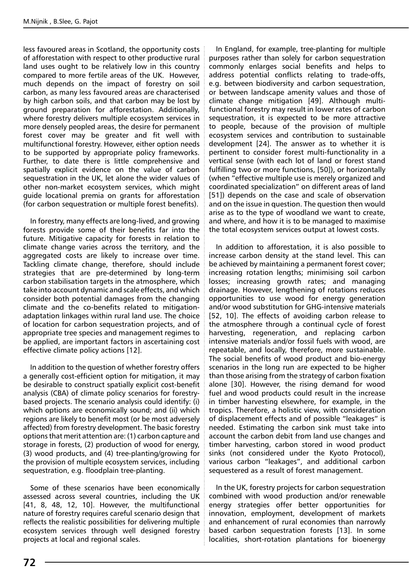less favoured areas in Scotland, the opportunity costs of afforestation with respect to other productive rural land uses ought to be relatively low in this country compared to more fertile areas of the UK. However, much depends on the impact of forestry on soil carbon, as many less favoured areas are characterised by high carbon soils, and that carbon may be lost by ground preparation for afforestation. Additionally, where forestry delivers multiple ecosystem services in more densely peopled areas, the desire for permanent forest cover may be greater and fit well with multifunctional forestry. However, either option needs to be supported by appropriate policy frameworks. Further, to date there is little comprehensive and spatially explicit evidence on the value of carbon sequestration in the UK, let alone the wider values of other non-market ecosystem services, which might guide locational premia on grants for afforestation (for carbon sequestration or multiple forest benefits).

In forestry, many effects are long-lived, and growing forests provide some of their benefits far into the future. Mitigative capacity for forests in relation to climate change varies across the territory, and the aggregated costs are likely to increase over time. Tackling climate change, therefore, should include strategies that are pre-determined by long-term carbon stabilisation targets in the atmosphere, which take into account dynamic and scale effects, and which consider both potential damages from the changing climate and the co-benefits related to mitigationadaptation linkages within rural land use. The choice of location for carbon sequestration projects, and of appropriate tree species and management regimes to be applied, are important factors in ascertaining cost effective climate policy actions [12].

In addition to the question of whether forestry offers a generally cost-efficient option for mitigation, it may be desirable to construct spatially explicit cost-benefit analysis (CBA) of climate policy scenarios for forestrybased projects. The scenario analysis could identify: (i) which options are economically sound; and (ii) which regions are likely to benefit most (or be most adversely affected) from forestry development. The basic forestry options that merit attention are: (1) carbon capture and storage in forests, (2) production of wood for energy, (3) wood products, and (4) tree-planting/growing for the provision of multiple ecosystem services, including sequestration, e.g. floodplain tree-planting.

Some of these scenarios have been economically assessed across several countries, including the UK [41, 8, 48, 12, 10]. However, the multifunctional nature of forestry requires careful scenario design that reflects the realistic possibilities for delivering multiple ecosystem services through well designed forestry projects at local and regional scales.

In England, for example, tree-planting for multiple purposes rather than solely for carbon sequestration commonly enlarges social benefits and helps to address potential conflicts relating to trade-offs, e.g. between biodiversity and carbon sequestration, or between landscape amenity values and those of climate change mitigation [49]. Although multifunctional forestry may result in lower rates of carbon sequestration, it is expected to be more attractive to people, because of the provision of multiple ecosystem services and contribution to sustainable development [24]. The answer as to whether it is pertinent to consider forest multi-functionality in a vertical sense (with each lot of land or forest stand fulfilling two or more functions, [50]), or horizontally (when "effective multiple use is merely organized and coordinated specialization" on different areas of land [51]) depends on the case and scale of observation and on the issue in question. The question then would arise as to the type of woodland we want to create, and where, and how it is to be managed to maximise the total ecosystem services output at lowest costs.

In addition to afforestation, it is also possible to increase carbon density at the stand level. This can be achieved by maintaining a permanent forest cover; increasing rotation lengths; minimising soil carbon losses; increasing growth rates; and managing drainage. However, lengthening of rotations reduces opportunities to use wood for energy generation and/or wood substitution for GHG-intensive materials [52, 10]. The effects of avoiding carbon release to the atmosphere through a continual cycle of forest harvesting, regeneration, and replacing carbon intensive materials and/or fossil fuels with wood, are repeatable, and locally, therefore, more sustainable. The social benefits of wood product and bio-energy scenarios in the long run are expected to be higher than those arising from the strategy of carbon fixation alone [30]. However, the rising demand for wood fuel and wood products could result in the increase in timber harvesting elsewhere, for example, in the tropics. Therefore, a holistic view, with consideration of displacement effects and of possible "leakages" is needed. Estimating the carbon sink must take into account the carbon debit from land use changes and timber harvesting, carbon stored in wood product sinks (not considered under the Kyoto Protocol), various carbon "leakages", and additional carbon sequestered as a result of forest management.

In the UK, forestry projects for carbon sequestration combined with wood production and/or renewable energy strategies offer better opportunities for innovation, employment, development of markets and enhancement of rural economies than narrowly based carbon sequestration forests [13]. In some localities, short-rotation plantations for bioenergy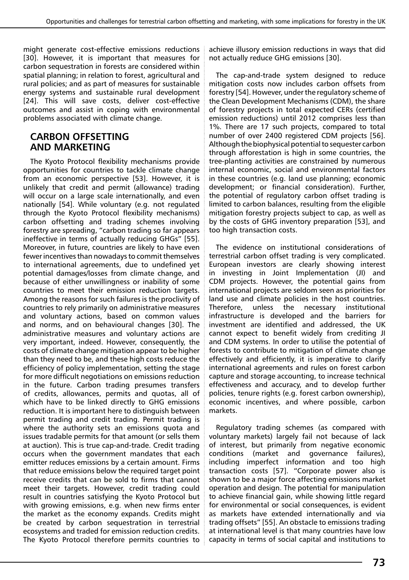might generate cost-effective emissions reductions [30]. However, it is important that measures for carbon sequestration in forests are considered within spatial planning; in relation to forest, agricultural and rural policies; and as part of measures for sustainable energy systems and sustainable rural development [24]. This will save costs, deliver cost-effective outcomes and assist in coping with environmental problems associated with climate change.

## **CARBON OFFSETTING AND MARKETING**

The Kyoto Protocol flexibility mechanisms provide opportunities for countries to tackle climate change from an economic perspective [53]. However, it is unlikely that credit and permit (allowance) trading will occur on a large scale internationally, and even nationally [54]. While voluntary (e.g. not regulated through the Kyoto Protocol flexibility mechanisms) carbon offsetting and trading schemes involving forestry are spreading, "carbon trading so far appears ineffective in terms of actually reducing GHGs" [55]. Moreover, in future, countries are likely to have even fewer incentives than nowadays to commit themselves to international agreements, due to undefined yet potential damages/losses from climate change, and because of either unwillingness or inability of some countries to meet their emission reduction targets. Among the reasons for such failures is the proclivity of countries to rely primarily on administrative measures and voluntary actions, based on common values and norms, and on behavioural changes [30]. The administrative measures and voluntary actions are very important, indeed. However, consequently, the costs of climate change mitigation appear to be higher than they need to be, and these high costs reduce the efficiency of policy implementation, setting the stage for more difficult negotiations on emissions reduction in the future. Carbon trading presumes transfers of credits, allowances, permits and quotas, all of which have to be linked directly to GHG emissions reduction. It is important here to distinguish between permit trading and credit trading. Permit trading is where the authority sets an emissions quota and issues tradable permits for that amount (or sells them at auction). This is true cap-and-trade. Credit trading occurs when the government mandates that each emitter reduces emissions by a certain amount. Firms that reduce emissions below the required target point receive credits that can be sold to firms that cannot meet their targets. However, credit trading could result in countries satisfying the Kyoto Protocol but with growing emissions, e.g. when new firms enter the market as the economy expands. Credits might be created by carbon sequestration in terrestrial ecosystems and traded for emission reduction credits. The Kyoto Protocol therefore permits countries to achieve illusory emission reductions in ways that did not actually reduce GHG emissions [30].

The cap-and-trade system designed to reduce mitigation costs now includes carbon offsets from forestry [54]. However, under the regulatory scheme of the Clean Development Mechanisms (CDM), the share of forestry projects in total expected CERs (certified emission reductions) until 2012 comprises less than 1%. There are 17 such projects, compared to total number of over 2400 registered CDM projects [56]. Although the biophysical potential to sequester carbon through afforestation is high in some countries, the tree-planting activities are constrained by numerous internal economic, social and environmental factors in these countries (e.g. land use planning; economic development; or financial consideration). Further, the potential of regulatory carbon offset trading is limited to carbon balances, resulting from the eligible mitigation forestry projects subject to cap, as well as by the costs of GHG inventory preparation [53], and too high transaction costs.

The evidence on institutional considerations of terrestrial carbon offset trading is very complicated. European investors are clearly showing interest in investing in Joint Implementation (JI) and CDM projects. However, the potential gains from international projects are seldom seen as priorities for land use and climate policies in the host countries. Therefore, unless the necessary institutional infrastructure is developed and the barriers for investment are identified and addressed, the UK cannot expect to benefit widely from crediting JI and CDM systems. In order to utilise the potential of forests to contribute to mitigation of climate change effectively and efficiently, it is imperative to clarify international agreements and rules on forest carbon capture and storage accounting, to increase technical effectiveness and accuracy, and to develop further policies, tenure rights (e.g. forest carbon ownership), economic incentives, and where possible, carbon markets.

Regulatory trading schemes (as compared with voluntary markets) largely fail not because of lack of interest, but primarily from negative economic conditions (market and governance failures), including imperfect information and too high transaction costs [57]. "Corporate power also is shown to be a major force affecting emissions market operation and design. The potential for manipulation to achieve financial gain, while showing little regard for environmental or social consequences, is evident as markets have extended internationally and via trading offsets" [55]. An obstacle to emissions trading at international level is that many countries have low capacity in terms of social capital and institutions to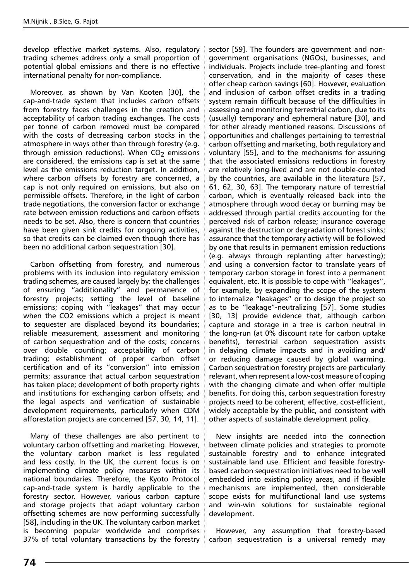develop effective market systems. Also, regulatory trading schemes address only a small proportion of potential global emissions and there is no effective international penalty for non-compliance.

Moreover, as shown by Van Kooten [30], the cap-and-trade system that includes carbon offsets from forestry faces challenges in the creation and acceptability of carbon trading exchanges. The costs per tonne of carbon removed must be compared with the costs of decreasing carbon stocks in the atmosphere in ways other than through forestry (e.g. through emission reductions). When  $CO<sub>2</sub>$  emissions are considered, the emissions cap is set at the same level as the emissions reduction target. In addition, where carbon offsets by forestry are concerned, a cap is not only required on emissions, but also on permissible offsets. Therefore, in the light of carbon trade negotiations, the conversion factor or exchange rate between emission reductions and carbon offsets needs to be set. Also, there is concern that countries have been given sink credits for ongoing activities, so that credits can be claimed even though there has been no additional carbon sequestration [30].

Carbon offsetting from forestry, and numerous problems with its inclusion into regulatory emission trading schemes, are caused largely by: the challenges of ensuring "additionality" and permanence of forestry projects; setting the level of baseline emissions; coping with "leakages" that may occur when the CO2 emissions which a project is meant to sequester are displaced beyond its boundaries; reliable measurement, assessment and monitoring of carbon sequestration and of the costs; concerns over double counting; acceptability of carbon trading; establishment of proper carbon offset certification and of its "conversion" into emission permits; assurance that actual carbon sequestration has taken place; development of both property rights and institutions for exchanging carbon offsets; and the legal aspects and verification of sustainable development requirements, particularly when CDM afforestation projects are concerned [57, 30, 14, 11].

Many of these challenges are also pertinent to voluntary carbon offsetting and marketing. However, the voluntary carbon market is less regulated and less costly. In the UK, the current focus is on implementing climate policy measures within its national boundaries. Therefore, the Kyoto Protocol cap-and-trade system is hardly applicable to the forestry sector. However, various carbon capture and storage projects that adapt voluntary carbon offsetting schemes are now performing successfully [58], including in the UK. The voluntary carbon market is becoming popular worldwide and comprises 37% of total voluntary transactions by the forestry sector [59]. The founders are government and nongovernment organisations (NGOs), businesses, and individuals. Projects include tree-planting and forest conservation, and in the majority of cases these offer cheap carbon savings [60]. However, evaluation and inclusion of carbon offset credits in a trading system remain difficult because of the difficulties in assessing and monitoring terrestrial carbon, due to its (usually) temporary and ephemeral nature [30], and for other already mentioned reasons. Discussions of opportunities and challenges pertaining to terrestrial carbon offsetting and marketing, both regulatory and voluntary [55], and to the mechanisms for assuring that the associated emissions reductions in forestry are relatively long-lived and are not double-counted by the countries, are available in the literature [57, 61, 62, 30, 63]. The temporary nature of terrestrial carbon, which is eventually released back into the atmosphere through wood decay or burning may be addressed through partial credits accounting for the perceived risk of carbon release; insurance coverage against the destruction or degradation of forest sinks; assurance that the temporary activity will be followed by one that results in permanent emission reductions (e.g. always through replanting after harvesting); and using a conversion factor to translate years of temporary carbon storage in forest into a permanent equivalent, etc. It is possible to cope with "leakages", for example, by expanding the scope of the system to internalize "leakages" or to design the project so as to be "leakage"-neutralizing [57]. Some studies [30, 13] provide evidence that, although carbon capture and storage in a tree is carbon neutral in the long-run (at 0% discount rate for carbon uptake benefits), terrestrial carbon sequestration assists in delaying climate impacts and in avoiding and/ or reducing damage caused by global warming. Carbon sequestration forestry projects are particularly relevant, when represent a low-cost measure of coping with the changing climate and when offer multiple benefits. For doing this, carbon sequestration forestry projects need to be coherent, effective, cost-efficient, widely acceptable by the public, and consistent with other aspects of sustainable development policy.

New insights are needed into the connection between climate policies and strategies to promote sustainable forestry and to enhance integrated sustainable land use. Efficient and feasible forestrybased carbon sequestration initiatives need to be well embedded into existing policy areas, and if flexible mechanisms are implemented, then considerable scope exists for multifunctional land use systems and win-win solutions for sustainable regional development.

However, any assumption that forestry-based carbon sequestration is a universal remedy may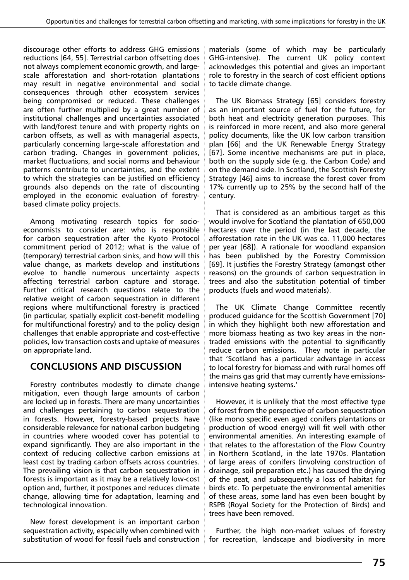discourage other efforts to address GHG emissions reductions [64, 55]. Terrestrial carbon offsetting does not always complement economic growth, and largescale afforestation and short-rotation plantations may result in negative environmental and social consequences through other ecosystem services being compromised or reduced. These challenges are often further multiplied by a great number of institutional challenges and uncertainties associated with land/forest tenure and with property rights on carbon offsets, as well as with managerial aspects, particularly concerning large-scale afforestation and carbon trading. Changes in government policies, market fluctuations, and social norms and behaviour patterns contribute to uncertainties, and the extent to which the strategies can be justified on efficiency grounds also depends on the rate of discounting employed in the economic evaluation of forestrybased climate policy projects.

Among motivating research topics for socioeconomists to consider are: who is responsible for carbon sequestration after the Kyoto Protocol commitment period of 2012; what is the value of (temporary) terrestrial carbon sinks, and how will this value change, as markets develop and institutions evolve to handle numerous uncertainty aspects affecting terrestrial carbon capture and storage. Further critical research questions relate to the relative weight of carbon sequestration in different regions where multifunctional forestry is practiced (in particular, spatially explicit cost-benefit modelling for multifunctional forestry) and to the policy design challenges that enable appropriate and cost-effective policies, low transaction costs and uptake of measures on appropriate land.

## **CONCLUSIONS AND DISCUSSION**

Forestry contributes modestly to climate change mitigation, even though large amounts of carbon are locked up in forests. There are many uncertainties and challenges pertaining to carbon sequestration in forests. However, forestry-based projects have considerable relevance for national carbon budgeting in countries where wooded cover has potential to expand significantly. They are also important in the context of reducing collective carbon emissions at least cost by trading carbon offsets across countries. The prevailing vision is that carbon sequestration in forests is important as it may be a relatively low-cost option and, further, it postpones and reduces climate change, allowing time for adaptation, learning and technological innovation.

New forest development is an important carbon sequestration activity, especially when combined with substitution of wood for fossil fuels and construction materials (some of which may be particularly GHG-intensive). The current UK policy context acknowledges this potential and gives an important role to forestry in the search of cost efficient options to tackle climate change.

The UK Biomass Strategy [65] considers forestry as an important source of fuel for the future, for both heat and electricity generation purposes. This is reinforced in more recent, and also more general policy documents, like the UK low carbon transition plan [66] and the UK Renewable Energy Strategy [67]. Some incentive mechanisms are put in place, both on the supply side (e.g. the Carbon Code) and on the demand side. In Scotland, the Scottish Forestry Strategy [46] aims to increase the forest cover from 17% currently up to 25% by the second half of the century.

That is considered as an ambitious target as this would involve for Scotland the plantation of 650,000 hectares over the period (in the last decade, the afforestation rate in the UK was ca. 11,000 hectares per year [68]). A rationale for woodland expansion has been published by the Forestry Commission [69]. It justifies the Forestry Strategy (amongst other reasons) on the grounds of carbon sequestration in trees and also the substitution potential of timber products (fuels and wood materials).

The UK Climate Change Committee recently produced guidance for the Scottish Government [70] in which they highlight both new afforestation and more biomass heating as two key areas in the nontraded emissions with the potential to significantly reduce carbon emissions. They note in particular that 'Scotland has a particular advantage in access to local forestry for biomass and with rural homes off the mains gas grid that may currently have emissionsintensive heating systems.'

However, it is unlikely that the most effective type of forest from the perspective of carbon sequestration (like mono specific even aged conifers plantations or production of wood energy) will fit well with other environmental amenities. An interesting example of that relates to the afforestation of the Flow Country in Northern Scotland, in the late 1970s. Plantation of large areas of conifers (involving construction of drainage, soil preparation etc.) has caused the drying of the peat, and subsequently a loss of habitat for birds etc. To perpetuate the environmental amenities of these areas, some land has even been bought by RSPB (Royal Society for the Protection of Birds) and trees have been removed.

Further, the high non-market values of forestry for recreation, landscape and biodiversity in more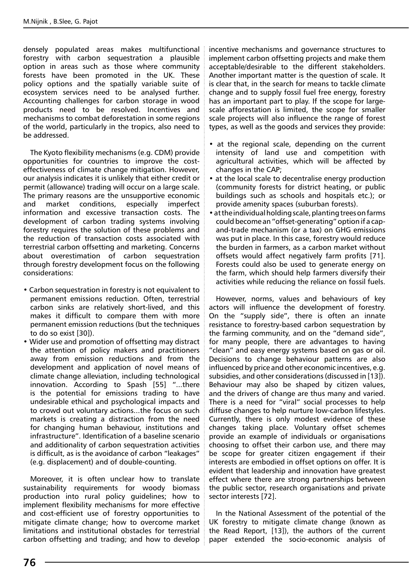densely populated areas makes multifunctional forestry with carbon sequestration a plausible option in areas such as those where community forests have been promoted in the UK. These policy options and the spatially variable suite of ecosystem services need to be analysed further. Accounting challenges for carbon storage in wood products need to be resolved. Incentives and mechanisms to combat deforestation in some regions of the world, particularly in the tropics, also need to be addressed.

The Kyoto flexibility mechanisms (e.g. CDM) provide opportunities for countries to improve the costeffectiveness of climate change mitigation. However, our analysis indicates it is unlikely that either credit or permit (allowance) trading will occur on a large scale. The primary reasons are the unsupportive economic and market conditions, especially imperfect information and excessive transaction costs. The development of carbon trading systems involving forestry requires the solution of these problems and the reduction of transaction costs associated with terrestrial carbon offsetting and marketing. Concerns about overestimation of carbon sequestration through forestry development focus on the following considerations:

- Carbon sequestration in forestry is not equivalent to permanent emissions reduction. Often, terrestrial carbon sinks are relatively short-lived, and this makes it difficult to compare them with more permanent emission reductions (but the techniques to do so exist [30]).
- Wider use and promotion of offsetting may distract the attention of policy makers and practitioners away from emission reductions and from the development and application of novel means of climate change alleviation, including technological innovation. According to Spash [55] "...there is the potential for emissions trading to have undesirable ethical and psychological impacts and to crowd out voluntary actions...the focus on such markets is creating a distraction from the need for changing human behaviour, institutions and infrastructure". Identification of a baseline scenario and additionality of carbon sequestration activities is difficult, as is the avoidance of carbon "leakages" (e.g. displacement) and of double-counting.

Moreover, it is often unclear how to translate sustainability requirements for woody biomass production into rural policy guidelines; how to implement flexibility mechanisms for more effective and cost-efficient use of forestry opportunities to mitigate climate change; how to overcome market limitations and institutional obstacles for terrestrial carbon offsetting and trading; and how to develop incentive mechanisms and governance structures to implement carbon offsetting projects and make them acceptable/desirable to the different stakeholders. Another important matter is the question of scale. It is clear that, in the search for means to tackle climate change and to supply fossil fuel free energy, forestry has an important part to play. If the scope for largescale afforestation is limited, the scope for smaller scale projects will also influence the range of forest types, as well as the goods and services they provide:

- at the regional scale, depending on the current intensity of land use and competition with agricultural activities, which will be affected by changes in the CAP;
- at the local scale to decentralise energy production (community forests for district heating, or public buildings such as schools and hospitals etc.); or provide amenity spaces (suburban forests).
- at the individual holding scale, planting trees on farms could become an "offset-generating" option if a capand-trade mechanism (or a tax) on GHG emissions was put in place. In this case, forestry would reduce the burden in farmers, as a carbon market without offsets would affect negatively farm profits [71]. Forests could also be used to generate energy on the farm, which should help farmers diversify their activities while reducing the reliance on fossil fuels.

However, norms, values and behaviours of key actors will influence the development of forestry. On the "supply side", there is often an innate resistance to forestry-based carbon sequestration by the farming community, and on the "demand side", for many people, there are advantages to having "clean" and easy energy systems based on gas or oil. Decisions to change behaviour patterns are also influenced by price and other economic incentives, e.g. subsidies, and other considerations (discussed in [13]). Behaviour may also be shaped by citizen values, and the drivers of change are thus many and varied. There is a need for "viral" social processes to help diffuse changes to help nurture low-carbon lifestyles. Currently, there is only modest evidence of these changes taking place. Voluntary offset schemes provide an example of individuals or organisations choosing to offset their carbon use, and there may be scope for greater citizen engagement if their interests are embodied in offset options on offer. It is evident that leadership and innovation have greatest effect where there are strong partnerships between the public sector, research organisations and private sector interests [72].

In the National Assessment of the potential of the UK forestry to mitigate climate change (known as the Read Report, [13]), the authors of the current paper extended the socio-economic analysis of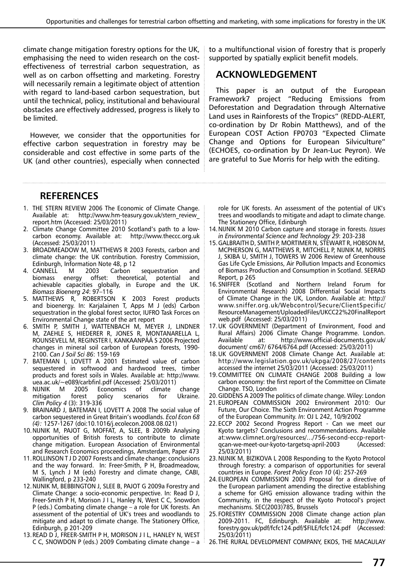climate change mitigation forestry options for the UK, emphasising the need to widen research on the costeffectiveness of terrestrial carbon sequestration, as well as on carbon offsetting and marketing. Forestry will necessarily remain a legitimate object of attention with regard to land-based carbon sequestration, but until the technical, policy, institutional and behavioural obstacles are effectively addressed, progress is likely to be limited.

However, we consider that the opportunities for effective carbon sequestration in forestry may be considerable and cost effective in some parts of the UK (and other countries), especially when connected to a multifunctional vision of forestry that is properly supported by spatially explicit benefit models.

### **ACKNOWLEDGEMENT**

This paper is an output of the European Framework7 project "Reducing Emissions from Deforestation and Degradation through Alternative Land uses in Rainforests of the Tropics" (REDD-ALERT, co-ordination by Dr Robin Matthews), and of the European COST Action FP0703 "Expected Climate Change and Options for European Silviculture" (ECHOES, co-ordination by Dr Jean-Luc Peyron). We are grateful to Sue Morris for help with the editing.

## **References**

- 1. THE STERN REVIEW 2006 The Economic of Climate Change. Available at: http://www.hm-teasury.gov.uk/stern\_review\_ report.htm (Accessed: 25/03/2011)
- 2. Climate Change Committee 2010 Scotland's path to a lowcarbon economy. Available at: http://www.theccc.org.uk (Accessed: 25/03/2011)
- 3. BROADMEADOW M, MATTHEWS R 2003 Forests, carbon and climate change: the UK contribution. Forestry Commission, Edinburgh, Information Note 48, p 12
- 4. CANNELL M 2003 Carbon sequestration and<br>biomass energy offset: theoretical, potential and offset: theoretical, achievable capacities globally, in Europe and the UK. *Biomass Bioenerg 24*: 97–116
- 5. MATTHEWS R, ROBERTSON K 2003 Forest products and bioenergy. In: Karjalainen T, Apps M J (eds) Carbon sequestration in the global forest sector, IUFRO Task Forces on Environmental Change state of the art report
- 6. SMITH P, SMITH J, WATTENBACH M, MEYER J, LINDNER M, ZAEHLE S, HIEDERER R, JONES R, MONTANARELLA L, ROUNSEVELL M, REGINSTER I, KANKAANPÄÄ S 2006 Projected changes in mineral soil carbon of European forests, 1990- 2100. *Can J Soil Sci 86*: 159-169
- 7. BATEMAN I, LOVETT A 2001 Estimated value of carbon sequestered in softwood and hardwood trees, timber products and forest soils in Wales. Available at: http://www. uea.ac.uk/~e089/carbfinl.pdf (Accessed: 25/03/2011)
- 8. NIJNIK M 2005 Economics of climate change mitigation forest policy scenarios for Ukraine. *Clim Policy 4* (3): 319-336
- 9. BRAINARD J, BATEMAN I, LOVETT A 2008 The social value of carbon sequestered in Great Britain's woodlands. *Ecol Econ 68 (4):* 1257-1267 (doi:10.1016/j.ecolecon.2008.08.021)
- 10.NIJNIK M, PAJOT G, MOFFAT, A, SLEE, B 2009b Analysing opportunities of British forests to contribute to climate change mitigation. European Association of Environmental and Research Economics proceedings, Amsterdam, Paper 473
- 11.ROLLINSON T J D 2007 Forests and climate change: conclusions and the way forward. In: Freer-Smith, P H, Broadmeadow, M S, Lynch J M (eds) Forestry and climate change, CABI, Wallingford, p 233-240
- 12.NIJNIK M, BEBBINGTON J, SLEE B, PAJOT G 2009a Forestry and Climate Change: a socio-economic perspective. In: Read D J, Freer-Smith P H, Morison J I L, Hanley N, West C C, Snowdon P (eds.) Combating climate change – a role for UK forests. An assessment of the potential of UK's trees and woodlands to mitigate and adapt to climate change. The Stationery Office, Edinburgh, p 201-209
- 13.READ D J, FREER-SMITH P H, MORISON J I L, HANLEY N, WEST C C, SNOWDON P (eds.) 2009 Combating climate change – a

role for UK forests. An assessment of the potential of UK's trees and woodlands to mitigate and adapt to climate change. The Stationery Office, Edinburgh

- 14.NIJNIK M 2010 Carbon capture and storage in forests. *Issues in Environmental Science and Technology 29*: 203-238
- 15.GALBRAITH D, SMITH P, MORTIMER N, STEWART R, HOBSON M, MCPHERSON G, MATTHEWS R, MITCHELL P, NIJNIK M, NORRIS J, SKIBA U, SMITH J, TOWERS W 2006 Review of Greenhouse Gas Life Cycle Emissions, Air Pollution Impacts and Economics of Biomass Production and Consumption in Scotland. SEERAD Report, p 265
- 16.SNIFFER (Scotland and Northern Ireland Forum for Environmental Research) 2008 Differential Social Impacts of Climate Change in the UK, London. Available at: http:// www.sniffer.org.uk/Webcontrol/Secure/ClientSpecific/ ResourceManagement/UploadedFiles/UKCC22%20FinalReport web.pdf (Accessed: 25/03/2011)
- 17.UK GOVERNMENT (Department of Environment, Food and Rural Affairs) 2006 Climate Change Programme. London. Available at: http://www.official-documents.gov.uk/ document/ cm67/ 6764/6764.pdf (Accessed: 25/03/2011)
- 18.UK GOVERNMENT 2008 Climate Change Act. Available at: http://www.legislation.gov.uk/ukpga/2008/27/contents accessed the internet 25/03/2011 (Accessed: 25/03/2011)
- 19.COMMITTEE ON CLIMATE CHANGE 2008 Building a low carbon economy: the first report of the Committee on Climate Change. TSO, London
- 20.GIDDENS A 2009 The politics of climate change. Wiley: London
- 21.EUROPEAN COMMISSION 2002 Environment 2010: Our Future, Our Choice. The Sixth Environment Action Programme of the European Community. *In*: OJ L 242, 10/9/2002
- 22.ECCP 2002 Second Progress Report Can we meet our Kyoto targets? Conclusions and recommendations. Available at:www.climnet.org/resources/.../756-second-eccp-reportqcan-we-meet-our-kyoto-targetsq-april-2003 (Accessed: 25/03/2011)
- 23.NIJNIK M, BIZIKOVA L 2008 Responding to the Kyoto Protocol through forestry: a comparison of opportunities for several countries in Europe. *Forest Policy Econ 10* (4): 257-269
- 24.EUROPEAN COMMISSION 2003 Proposal for a directive of the European parliament amending the directive establishing a scheme for GHG emission allowance trading within the Community, in the respect of the Kyoto Protocol's project mechanisms. SEC(2003)785, Brussels
- 25.FORESTRY COMMISSION 2008 Climate change action plan 2009-2011. FC, Edinburgh. Available at: http://www. forestry.gov.uk/pdf/fcfc124.pdf/\$FILE/fcfc124.pdf (Accessed: 25/03/2011)
- 26.THE RURAL DEVELOPMENT COMPANY, EKOS, THE MACAULAY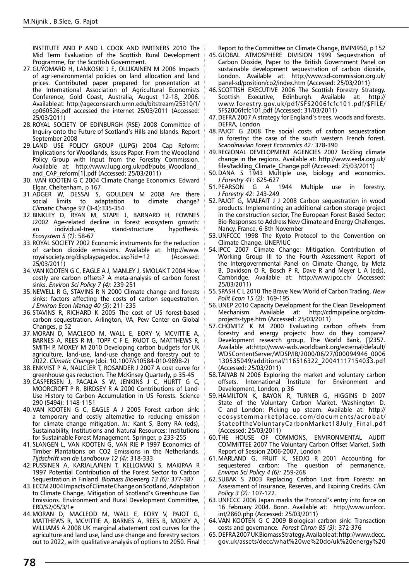INSTITUTE AND P AND L COOK AND PARTNERS 2010 The Mid Term Evaluation of the Scottish Rural Development Programme, for the Scottish Government.

- 27.GUYOMARD H, LANKOSKI J E, OLLIKAINEN M 2006 Impacts of agri-environmental policies on land allocation and land prices. Contributed paper prepared for presentation at the International Association of Agricultural Economists Conference, Gold Coast, Australia, August 12-18, 2006. Available at: http://ageconsearch.umn.edu/bitstream/25310/1/ cp060526.pdf accessed the internet 25/03/2011 (Accessed: 25/03/2011)
- 28.ROYAL SOCIETY OF EDINBURGH (RSE) 2008 Committee of Inquiry onto the Future of Scotland's Hills and Islands. Report September 2008
- 29.LAND USE POLICY GROUP (LUPG) 2004 Cap Reform: Implications for Woodlands, Issues Paper. From the Woodland Policy Group with Input from the Forestry Commission. Available at: http://www.lupg.org.uk/pdf/pubs\_Woodland\_ and\_CAP\_reform[1].pdf (Accessed: 25/03/2011)
- 30. VAN KOOTEN G C 2004 Climate Change Economics. Edward Elgar, Cheltenham, p 167
- 31.ADGER W, DESSAI S, GOULDEN M 2008 Are there social limits to adaptation to climate change? *Climatic Change 93* (3-4):335-354
- 32.BINKLEY D, RYAN M, STAPE J, BARNARD H, FOWNES J2002 Age-related decline in forest ecosystem growth: an individual-tree, stand-structure hypothesis. *Ecosystem 5 (1)*: 58-67
- 33.ROYAL SOCIETY 2002 Economic instruments for the reduction of carbon dioxide emissions. Available at: http://www. royalsociety.org/displaypagedoc.asp?id=12 (Accessed: 25/03/2011)
- 34.VAN KOOTEN G C, EAGLE A J, MANLEY J, SMOLAK T 2004 How costly are carbon offsets? A meta-analysis of carbon forest sinks. *Environ Sci Policy 7 (4)*: 239-251
- 35.NEWELL R G, STAVINS R N 2000 Climate change and forests sinks: factors affecting the costs of carbon sequestration. *J Environ Econ Manag 40 (3)*: 211-235
- 36.STAVINS R, RICHARD K 2005 The cost of US forest-based carbon sequestration. Arlington, VA, Pew Center on Global Changes, p 52
- 37.MORAN D, MACLEOD M, WALL E, EORY V, MCVITTIE A, BARNES A, REES R M, TOPP C F E, PAJOT G, MATTHEWS R, SMITH P, MOXEY M 2010 Developing carbon budgets for UK agriculture, land-use, land-use change and forestry out to 2022. *Climatic Change* (doi: 10.1007/s10584-010-9898-2)
- 38.ENKVIST P A, NAUCLER T, ROSANDER J 2007 A cost curve for greenhouse gas reduction. The McKinsey Quarterly, p 35-45
- 39.CASPERSEN J, PACALA S W, JENKINS J C, HURTT G C, MOORCROFT P R, BIRDSEY R A 2000 Contributions of Land-Use History to Carbon Accumulation in US Forests. Science 290 (5494): 1148-1151
- 40.VAN KOOTEN G C, EAGLE A J 2005 Forest carbon sink: a temporary and costly alternative to reducing emission for climate change mitigation. *In:* Kant S, Berry RA (eds), Sustainability, Institutions and Natural Resources: Institutions for Sustainable Forest Management. Springer, p 233-255
- 41.SLANGEN L, VAN KOOTEN G, VAN RIE P 1997 Economics of Timber Plantations on CO2 Emissions in the Netherlands. *Tijdschrift van de Landbouw 12 (4)*: 318-333
- 42.PUSSINEN A, KARJALAJNEN T, KELLOMAKI S, MAKIPAA R 1997 Potential Contribution of the Forest Sector to Carbon Sequestration in Finland. *Biomass Bioenerg 13 (6):* 377-387
- 43.ECCM 2004 Impacts of Climate Change on Scotland, Adaptation to Climate Change, Mitigation of Scotland's Greenhouse Gas Emissions. Environment and Rural Development Committee, ERD/S2/05/3/1e
- 44.MORAN D, MACLEOD M, WALL E, EORY V, PAJOT G, MATTHEWS R, MCVITTIE A, BARNES A, REES B, MOXEY A, WILLIAMS A 2008 UK marginal abatement cost curves for the agriculture and land use, land use change and forestry sectors out to 2022, with qualitative analysis of options to 2050. Final

Report to the Committee on Climate Change, RMP4950, p 152

- 45.GLOBAL ATMOSPHERE DIVISION 1999 Sequestration of Carbon Dioxide, Paper to the British Government Panel on sustainable development sequestration of carbon dioxide, London. Available at: http://www.sd-commission.org.uk/ panel-sd/position/co2/index.htm (Accessed: 25/03/2011)
- 46.SCOTTISH EXECUTIVE 2006 The Scottish Forestry Strategy. Edinburgh. Available at: http:// www.forestry.gov.uk/pdf/SFS2006fcfc101.pdf/\$FILE/ SFS2006fcfc101.pdf (Accessed: 31/03/2011)
- 47.DEFRA 2007 A strategy for England's trees, woods and forests. DEFRA, London
- 48.PAJOT G 2008 The social costs of carbon sequestration in forestry: the case of the south western French forest. *Scandinavian Forest Economics 42:* 378-390
- 49.REGIONAL DEVELOPMENT AGENCIES 2007 Tackling climate change in the regions. Available at: http://www.eeda.org.uk/ files/tackling\_Climate\_Change.pdf (Accessed: 25/03/2011)
- 50.DANA S 1943 Multiple use, biology and economics. *J Forestry 41:* 625-627
- 51.PEARSON G A 1944 Multiple use in forestry. *J Forestry 42:* 243-249
- 52.PAJOT G, MALFAIT J J 2008 Carbon sequestration in wood products: Implementing an additional carbon storage project in the construction sector, The European Forest Based Sector: Bio-Responses to Address New Climate and Energy Challenges. Nancy, France, 6-8th November
- 53.UNFCCC 1998 The Kyoto Protocol to the Convention on Climate Change. UNEP/IUC
- 54.IPCC 2007 Climate Change: Mitigation. Contribution of Working Group III to the Fourth Assessment Report of the Intergovernmental Panel on Climate Change, by Metz B, Davidson O R, Bosch P R, Dave R and Meyer L A (eds), Cambridge. Available at: http://www.ipcc.ch/ (Accessed: 25/03/2011)
- 55.SPASH C L 2010 The Brave New World of Carbon Trading. *New Polit Econ 15 (2):* 169-195
- 56.UNEP 2010 Capacity Development for the Clean Development Mechanism. Available at: http://cdmpipeline.org/cdmprojects-type.htm (Accessed: 25/03/2011)
- 57.CHOMITZ K M 2000 Evaluating carbon offsets from forestry and energy projects: how do they compare? Development research group, The World Bank, □2357. Available at:http://www-wds.worldbank.org/external/default/ WDSContentServer/WDSP/IB/2000/06/27/000094946\_0006 130535049/additional/116516322\_20041117154033.pdf (Accessed: 25/03/2011)
- 58.TAIYAB N 2006 Exploring the market and voluntary carbon offsets. International Institute for Environment and Development, London, p 36
- 59.HAMILTON K, BAYON R, TURNER G, HIGGINS D 2007 State of the Voluntary Carbon Market. Washington D. C and London: Picking up steam. Available at: http:// ecosystemmarketplace.com/documents/acrobat/ StateoftheVoluntaryCarbonMarket18July\_Final.pdf (Accessed: 25/03/2011)
- 60.THE HOUSE OF COMMONS, ENVIRONMENTAL AUDIT COMMITTEE 2007 The Voluntary Carbon Offset Market, Sixth Report of Session 2006-2007, London
- 61.MARLAND G, FRUIT K, SEDJO R 2001 Accounting for question of permanence. *Environ Sci Policy 4 (6):* 259-268
- 62.SUBAK S 2003 Replacing Carbon Lost from Forests: an Assessment of Insurance, Reserves, and Expiring Credits. *Clim Policy 3 (2):* 107-122.
- 63.UNFCCC 2006 Japan marks the Protocol's entry into force on 16 February 2004. Bonn. Available at: http://www.unfccc. int/2860.php (Accessed: 25/03/2011)
- 64.VAN KOOTEN G C 2009 Biological carbon sink: Transaction costs and governance. *Forest Chron 85 (3):* 372-376
- 65.DEFRA 2007 UK Biomass Strategy. Available at: http://www.decc. gov.uk/assets/decc/what%20we%20do/uk%20energy%20